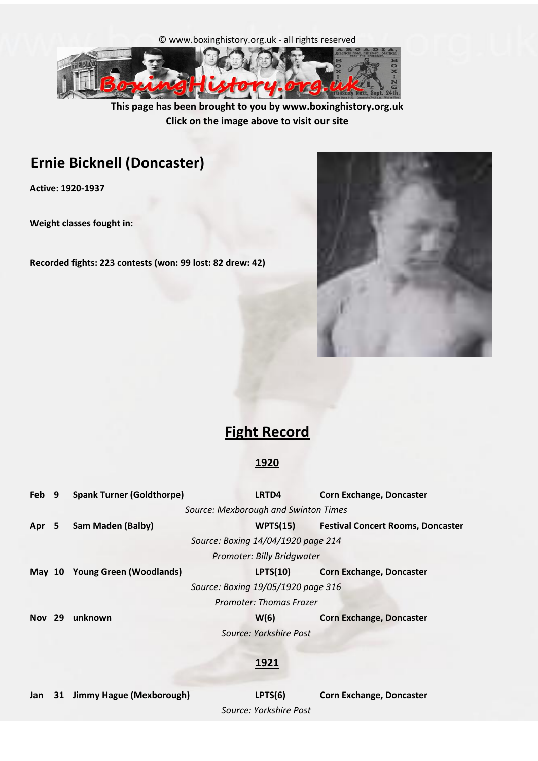



**This page has been brought to you by www.boxinghistory.org.uk Click on the image above to visit our site**

# **Ernie Bicknell (Doncaster)**

**Active: 1920-1937**

**Weight classes fought in:** 

**Recorded fights: 223 contests (won: 99 lost: 82 drew: 42)**



# **Fight Record**

#### **1920**

| Feb 9         | <b>Spank Turner (Goldthorpe)</b> | LRTD4                                | <b>Corn Exchange, Doncaster</b>          |
|---------------|----------------------------------|--------------------------------------|------------------------------------------|
|               |                                  | Source: Mexborough and Swinton Times |                                          |
| Apr 5         | Sam Maden (Balby)                | WPTS(15)                             | <b>Festival Concert Rooms, Doncaster</b> |
|               |                                  | Source: Boxing 14/04/1920 page 214   |                                          |
|               |                                  | Promoter: Billy Bridgwater           |                                          |
| <b>May 10</b> | Young Green (Woodlands)          | LPTS(10)                             | <b>Corn Exchange, Doncaster</b>          |
|               |                                  | Source: Boxing 19/05/1920 page 316   |                                          |
|               |                                  | Promoter: Thomas Frazer              |                                          |
| <b>Nov</b> 29 | unknown                          | W(6)                                 | <b>Corn Exchange, Doncaster</b>          |
|               |                                  | Source: Yorkshire Post               |                                          |
|               |                                  |                                      |                                          |

#### **1921**

**Jan 31 Jimmy Hague (Mexborough) LPTS(6) Corn Exchange, Doncaster**

*Source: Yorkshire Post*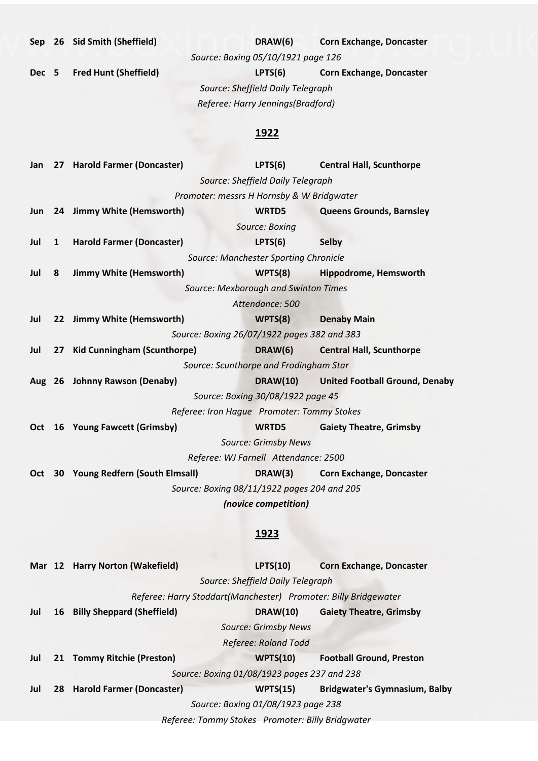**Sep 26 Sid Smith (Sheffield) DRAW(6) Corn Exchange, Doncaster**

*Source: Boxing 05/10/1921 page 126*

**Dec 5 Fred Hunt (Sheffield) LPTS(6) Corn Exchange, Doncaster** *Referee: Harry Jennings(Bradford) Source: Sheffield Daily Telegraph*

| Jan        |              | 27 Harold Farmer (Doncaster)      | LPTS(6)                                                         | <b>Central Hall, Scunthorpe</b>       |
|------------|--------------|-----------------------------------|-----------------------------------------------------------------|---------------------------------------|
|            |              |                                   | Source: Sheffield Daily Telegraph                               |                                       |
|            |              |                                   | Promoter: messrs H Hornsby & W Bridgwater                       |                                       |
| Jun        |              | 24 Jimmy White (Hemsworth)        | WRTD5                                                           | <b>Queens Grounds, Barnsley</b>       |
|            |              |                                   | Source: Boxing                                                  |                                       |
| Jul        | $\mathbf{1}$ | <b>Harold Farmer (Doncaster)</b>  | LPTS(6)                                                         | <b>Selby</b>                          |
|            |              |                                   | Source: Manchester Sporting Chronicle                           |                                       |
| Jul        | 8            | <b>Jimmy White (Hemsworth)</b>    | WPTS(8)                                                         | Hippodrome, Hemsworth                 |
|            |              |                                   | Source: Mexborough and Swinton Times                            |                                       |
|            |              |                                   | Attendance: 500                                                 |                                       |
| Jul        |              | 22 Jimmy White (Hemsworth)        | WPTS(8)                                                         | <b>Denaby Main</b>                    |
|            |              |                                   | Source: Boxing 26/07/1922 pages 382 and 383                     |                                       |
| Jul        |              | 27 Kid Cunningham (Scunthorpe)    | DRAW(6)                                                         | <b>Central Hall, Scunthorpe</b>       |
|            |              |                                   | Source: Scunthorpe and Frodingham Star                          |                                       |
|            |              | Aug 26 Johnny Rawson (Denaby)     | <b>DRAW(10)</b>                                                 | <b>United Football Ground, Denaby</b> |
|            |              |                                   | Source: Boxing 30/08/1922 page 45                               |                                       |
|            |              |                                   | Referee: Iron Hague Promoter: Tommy Stokes                      |                                       |
| <b>Oct</b> |              | 16 Young Fawcett (Grimsby)        | WRTD5                                                           | <b>Gaiety Theatre, Grimsby</b>        |
|            |              |                                   | <b>Source: Grimsby News</b>                                     |                                       |
|            |              |                                   | Referee: WJ Farnell Attendance: 2500                            |                                       |
| Oct        |              | 30 Young Redfern (South Elmsall)  | DRAW(3)                                                         | <b>Corn Exchange, Doncaster</b>       |
|            |              |                                   | Source: Boxing 08/11/1922 pages 204 and 205                     |                                       |
|            |              |                                   | (novice competition)                                            |                                       |
|            |              |                                   |                                                                 |                                       |
|            |              |                                   | <u> 1923 </u>                                                   |                                       |
|            |              |                                   |                                                                 |                                       |
|            |              | Mar 12 Harry Norton (Wakefield)   | LPTS(10)                                                        | <b>Corn Exchange, Doncaster</b>       |
|            |              |                                   | Source: Sheffield Daily Telegraph                               |                                       |
|            |              |                                   | Referee: Harry Stoddart(Manchester) Promoter: Billy Bridgewater |                                       |
| Jul        | 16           | <b>Billy Sheppard (Sheffield)</b> | <b>DRAW(10)</b>                                                 | <b>Gaiety Theatre, Grimsby</b>        |
|            |              |                                   | <b>Source: Grimsby News</b>                                     |                                       |
|            |              |                                   | <b>Referee: Roland Todd</b>                                     |                                       |
| Jul        | 21           | <b>Tommy Ritchie (Preston)</b>    | <b>WPTS(10)</b>                                                 | <b>Football Ground, Preston</b>       |
|            |              |                                   | Source: Boxing 01/08/1923 pages 237 and 238                     |                                       |
| Jul        | 28           | <b>Harold Farmer (Doncaster)</b>  | <b>WPTS(15)</b>                                                 | <b>Bridgwater's Gymnasium, Balby</b>  |
|            |              |                                   | Source: Boxing 01/08/1923 page 238                              |                                       |
|            |              |                                   | Referee: Tommy Stokes Promoter: Billy Bridgwater                |                                       |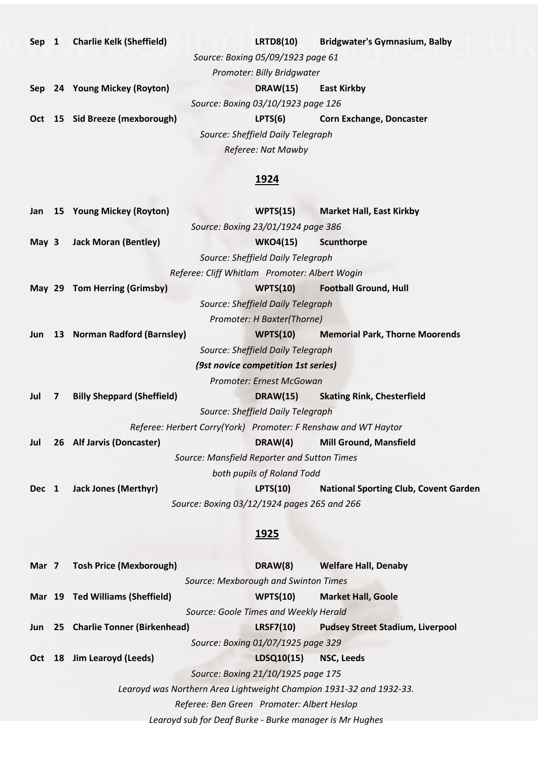| Sep | <b>Charlie Kelk (Sheffield)</b> |                                    | <b>LRTD8(10)</b>                  | <b>Bridgwater's Gymnasium, Balby</b> |
|-----|---------------------------------|------------------------------------|-----------------------------------|--------------------------------------|
|     |                                 | Source: Boxing 05/09/1923 page 61  |                                   |                                      |
|     |                                 |                                    | Promoter: Billy Bridgwater        |                                      |
|     | Sep 24 Young Mickey (Royton)    |                                    | <b>DRAW(15)</b>                   | <b>East Kirkby</b>                   |
|     |                                 | Source: Boxing 03/10/1923 page 126 |                                   |                                      |
|     | Oct 15 Sid Breeze (mexborough)  |                                    | LPTS(6)                           | <b>Corn Exchange, Doncaster</b>      |
|     |                                 |                                    | Source: Sheffield Daily Telegraph |                                      |
|     |                                 |                                    | Referee: Nat Mawby                |                                      |

| Jan      |                  | 15 Young Mickey (Royton)                                       | WPTS(15)                            | <b>Market Hall, East Kirkby</b>              |  |
|----------|------------------|----------------------------------------------------------------|-------------------------------------|----------------------------------------------|--|
|          |                  |                                                                | Source: Boxing 23/01/1924 page 386  |                                              |  |
| May 3    |                  | <b>Jack Moran (Bentley)</b>                                    | <b>WKO4(15)</b>                     | Scunthorpe                                   |  |
|          |                  |                                                                | Source: Sheffield Daily Telegraph   |                                              |  |
|          |                  | Referee: Cliff Whitlam Promoter: Albert Wogin                  |                                     |                                              |  |
| May $29$ |                  | <b>Tom Herring (Grimsby)</b>                                   | WPTS(10)                            | <b>Football Ground, Hull</b>                 |  |
|          |                  |                                                                | Source: Sheffield Daily Telegraph   |                                              |  |
|          |                  |                                                                | Promoter: H Baxter(Thorne)          |                                              |  |
| Jun      |                  | 13 Norman Radford (Barnsley)                                   | <b>WPTS(10)</b>                     | <b>Memorial Park, Thorne Moorends</b>        |  |
|          |                  | Source: Sheffield Daily Telegraph                              |                                     |                                              |  |
|          |                  |                                                                | (9st novice competition 1st series) |                                              |  |
|          |                  |                                                                | Promoter: Ernest McGowan            |                                              |  |
| Jul      | $\boldsymbol{7}$ | <b>Billy Sheppard (Sheffield)</b>                              | <b>DRAW(15)</b>                     | <b>Skating Rink, Chesterfield</b>            |  |
|          |                  |                                                                | Source: Sheffield Daily Telegraph   |                                              |  |
|          |                  | Referee: Herbert Corry(York) Promoter: F Renshaw and WT Haytor |                                     |                                              |  |
| Jul      | 26               | <b>Alf Jarvis (Doncaster)</b>                                  | DRAW(4)                             | <b>Mill Ground, Mansfield</b>                |  |
|          |                  | Source: Mansfield Reporter and Sutton Times                    |                                     |                                              |  |
|          |                  |                                                                | both pupils of Roland Todd          |                                              |  |
| Dec 1    |                  | <b>Jack Jones (Merthyr)</b>                                    | LPTS(10)                            | <b>National Sporting Club, Covent Garden</b> |  |
|          |                  | Source: Boxing 03/12/1924 pages 265 and 266                    |                                     |                                              |  |
|          |                  |                                                                |                                     |                                              |  |
|          |                  |                                                                |                                     |                                              |  |

| Mar 7 | <b>Tosh Price (Mexborough)</b>                                      | DRAW(8)                               | <b>Welfare Hall, Denaby</b>             |
|-------|---------------------------------------------------------------------|---------------------------------------|-----------------------------------------|
|       |                                                                     | Source: Mexborough and Swinton Times  |                                         |
|       | Mar 19 Ted Williams (Sheffield)                                     | WPTS(10)                              | <b>Market Hall, Goole</b>               |
|       |                                                                     | Source: Goole Times and Weekly Herald |                                         |
|       | Jun 25 Charlie Tonner (Birkenhead)                                  | <b>LRSF7(10)</b>                      | <b>Pudsey Street Stadium, Liverpool</b> |
|       |                                                                     | Source: Boxing 01/07/1925 page 329    |                                         |
| Oct   | 18 Jim Learoyd (Leeds)                                              | LDSQ10(15)                            | NSC, Leeds                              |
|       |                                                                     | Source: Boxing 21/10/1925 page 175    |                                         |
|       | Learoyd was Northern Area Lightweight Champion 1931-32 and 1932-33. |                                       |                                         |
|       | Referee: Ben Green Promoter: Albert Heslop                          |                                       |                                         |
|       | Learoyd sub for Deaf Burke - Burke manager is Mr Hughes             |                                       |                                         |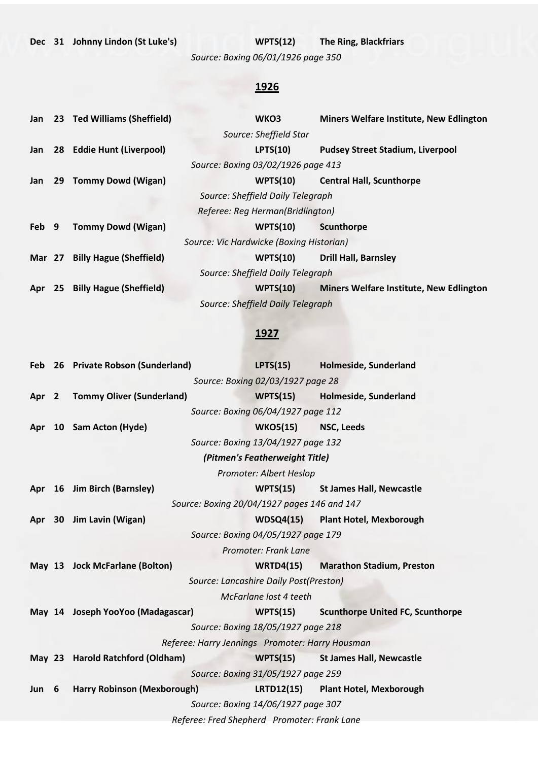# **Dec 31 Johnny Lindon (St Luke's) WPTS(12) The Ring, Blackfriars**

*Source: Boxing 06/01/1926 page 350*

## **1926**

| Jan           |    | 23 Ted Williams (Sheffield)    | WKO3                                     | Miners Welfare Institute, New Edlington        |
|---------------|----|--------------------------------|------------------------------------------|------------------------------------------------|
|               |    |                                | Source: Sheffield Star                   |                                                |
| Jan           |    | 28 Eddie Hunt (Liverpool)      | LPTS(10)                                 | <b>Pudsey Street Stadium, Liverpool</b>        |
|               |    |                                | Source: Boxing 03/02/1926 page 413       |                                                |
| Jan           | 29 | <b>Tommy Dowd (Wigan)</b>      | WPTS(10)                                 | <b>Central Hall, Scunthorpe</b>                |
|               |    |                                | Source: Sheffield Daily Telegraph        |                                                |
|               |    |                                | Referee: Reg Herman(Bridlington)         |                                                |
| Feb 9         |    | <b>Tommy Dowd (Wigan)</b>      | WPTS(10)                                 | Scunthorpe                                     |
|               |    |                                | Source: Vic Hardwicke (Boxing Historian) |                                                |
| <b>Mar</b> 27 |    | <b>Billy Hague (Sheffield)</b> | WPTS(10)                                 | <b>Drill Hall, Barnsley</b>                    |
|               |    |                                | Source: Sheffield Daily Telegraph        |                                                |
| Apr           | 25 | <b>Billy Hague (Sheffield)</b> | WPTS(10)                                 | <b>Miners Welfare Institute, New Edlington</b> |
|               |    |                                | Source: Sheffield Daily Telegraph        |                                                |
|               |    |                                |                                          |                                                |

|          |   | Feb 26 Private Robson (Sunderland) | LPTS(15)                                        | Holmeside, Sunderland                   |
|----------|---|------------------------------------|-------------------------------------------------|-----------------------------------------|
|          |   |                                    | Source: Boxing 02/03/1927 page 28               |                                         |
|          |   | Apr 2 Tommy Oliver (Sunderland)    | WPTS(15)                                        | Holmeside, Sunderland                   |
|          |   |                                    | Source: Boxing 06/04/1927 page 112              |                                         |
| Apr      |   | 10 Sam Acton (Hyde)                | <b>WKO5(15)</b>                                 | <b>NSC, Leeds</b>                       |
|          |   |                                    | Source: Boxing 13/04/1927 page 132              |                                         |
|          |   |                                    | (Pitmen's Featherweight Title)                  |                                         |
|          |   |                                    | Promoter: Albert Heslop                         |                                         |
| Apr      |   | 16 Jim Birch (Barnsley)            | WPTS(15)                                        | <b>St James Hall, Newcastle</b>         |
|          |   |                                    | Source: Boxing 20/04/1927 pages 146 and 147     |                                         |
| Apr      |   | 30 Jim Lavin (Wigan)               |                                                 | WDSQ4(15) Plant Hotel, Mexborough       |
|          |   |                                    | Source: Boxing 04/05/1927 page 179              |                                         |
|          |   |                                    | Promoter: Frank Lane                            |                                         |
|          |   | May 13 Jock McFarlane (Bolton)     | <b>WRTD4(15)</b>                                | <b>Marathon Stadium, Preston</b>        |
|          |   |                                    | Source: Lancashire Daily Post(Preston)          |                                         |
|          |   |                                    | McFarlane lost 4 teeth                          |                                         |
|          |   | May 14 Joseph YooYoo (Madagascar)  | WPTS(15)                                        | <b>Scunthorpe United FC, Scunthorpe</b> |
|          |   |                                    | Source: Boxing 18/05/1927 page 218              |                                         |
|          |   |                                    | Referee: Harry Jennings Promoter: Harry Housman |                                         |
| May $23$ |   | <b>Harold Ratchford (Oldham)</b>   | WPTS(15)                                        | <b>St James Hall, Newcastle</b>         |
|          |   |                                    | Source: Boxing 31/05/1927 page 259              |                                         |
| Jun      | 6 | <b>Harry Robinson (Mexborough)</b> |                                                 | LRTD12(15) Plant Hotel, Mexborough      |
|          |   |                                    | Source: Boxing 14/06/1927 page 307              |                                         |
|          |   |                                    | Referee: Fred Shepherd Promoter: Frank Lane     |                                         |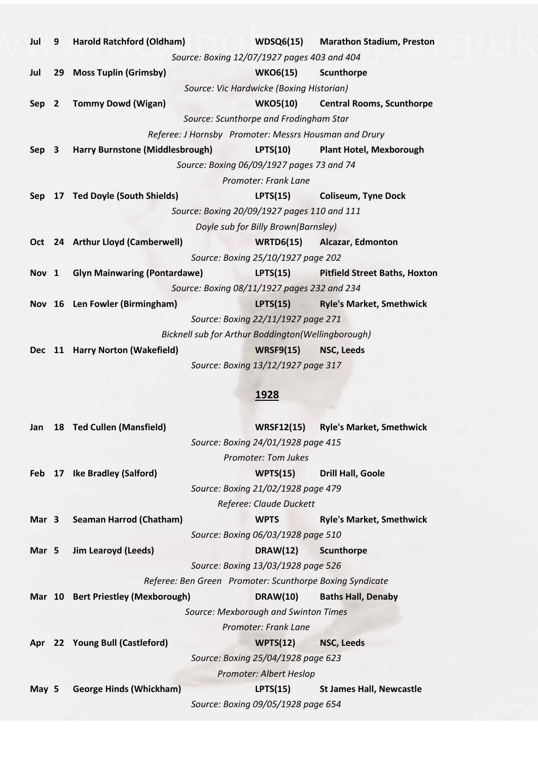| Jul              | 9              | <b>Harold Ratchford (Oldham)</b>                      | WDSQ6(15)                                 | <b>Marathon Stadium, Preston</b>     |
|------------------|----------------|-------------------------------------------------------|-------------------------------------------|--------------------------------------|
|                  |                | Source: Boxing 12/07/1927 pages 403 and 404           |                                           |                                      |
| Jul              | 29             | <b>Moss Tuplin (Grimsby)</b>                          | <b>WKO6(15)</b>                           | Scunthorpe                           |
|                  |                |                                                       | Source: Vic Hardwicke (Boxing Historian)  |                                      |
| Sep              | $\overline{2}$ | <b>Tommy Dowd (Wigan)</b>                             | <b>WKO5(10)</b>                           | <b>Central Rooms, Scunthorpe</b>     |
|                  |                |                                                       | Source: Scunthorpe and Frodingham Star    |                                      |
|                  |                | Referee: J Hornsby Promoter: Messrs Housman and Drury |                                           |                                      |
| Sep 3            |                | Harry Burnstone (Middlesbrough)                       | <b>LPTS(10)</b>                           | <b>Plant Hotel, Mexborough</b>       |
|                  |                |                                                       | Source: Boxing 06/09/1927 pages 73 and 74 |                                      |
|                  |                |                                                       | Promoter: Frank Lane                      |                                      |
| <b>Sep</b>       |                | 17 Ted Doyle (South Shields)                          | LPTS(15)                                  | <b>Coliseum, Tyne Dock</b>           |
|                  |                | Source: Boxing 20/09/1927 pages 110 and 111           |                                           |                                      |
|                  |                |                                                       | Doyle sub for Billy Brown(Barnsley)       |                                      |
|                  |                | Oct 24 Arthur Lloyd (Camberwell)                      |                                           | WRTD6(15) Alcazar, Edmonton          |
|                  |                |                                                       | Source: Boxing 25/10/1927 page 202        |                                      |
| Nov <sub>1</sub> |                | <b>Glyn Mainwaring (Pontardawe)</b>                   | LPTS(15)                                  | <b>Pitfield Street Baths, Hoxton</b> |
|                  |                | Source: Boxing 08/11/1927 pages 232 and 234           |                                           |                                      |
|                  |                | Nov 16 Len Fowler (Birmingham)                        | LPTS(15)                                  | <b>Ryle's Market, Smethwick</b>      |
|                  |                |                                                       | Source: Boxing 22/11/1927 page 271        |                                      |
|                  |                | Bicknell sub for Arthur Boddington(Wellingborough)    |                                           |                                      |
| <b>Dec</b>       | <b>11</b>      | <b>Harry Norton (Wakefield)</b>                       | <b>WRSF9(15)</b>                          | <b>NSC, Leeds</b>                    |
|                  |                |                                                       | Source: Boxing 13/12/1927 page 317        |                                      |
|                  |                |                                                       |                                           |                                      |

| Jan    | 18 Ted Cullen (Mansfield)          |                                                          | <b>WRSF12(15)</b> | <b>Ryle's Market, Smethwick</b> |
|--------|------------------------------------|----------------------------------------------------------|-------------------|---------------------------------|
|        |                                    | Source: Boxing 24/01/1928 page 415                       |                   |                                 |
|        |                                    | Promoter: Tom Jukes                                      |                   |                                 |
| Feb 17 | <b>Ike Bradley (Salford)</b>       | WPTS(15)                                                 |                   | <b>Drill Hall, Goole</b>        |
|        |                                    | Source: Boxing 21/02/1928 page 479                       |                   |                                 |
|        |                                    | Referee: Claude Duckett                                  |                   |                                 |
| Mar 3  | Seaman Harrod (Chatham)            | <b>WPTS</b>                                              |                   | <b>Ryle's Market, Smethwick</b> |
|        |                                    | Source: Boxing 06/03/1928 page 510                       |                   |                                 |
| Mar 5  | Jim Learoyd (Leeds)                | <b>DRAW(12)</b>                                          |                   | Scunthorpe                      |
|        |                                    | Source: Boxing 13/03/1928 page 526                       |                   |                                 |
|        |                                    | Referee: Ben Green Promoter: Scunthorpe Boxing Syndicate |                   |                                 |
|        | Mar 10 Bert Priestley (Mexborough) |                                                          | <b>DRAW(10)</b>   | <b>Baths Hall, Denaby</b>       |
|        |                                    | Source: Mexborough and Swinton Times                     |                   |                                 |
|        |                                    | Promoter: Frank Lane                                     |                   |                                 |
| Apr    | 22 Young Bull (Castleford)         | WPTS(12)                                                 |                   | <b>NSC, Leeds</b>               |
|        |                                    | Source: Boxing 25/04/1928 page 623                       |                   |                                 |
|        |                                    | Promoter: Albert Heslop                                  |                   |                                 |
| May 5  | <b>George Hinds (Whickham)</b>     | LPTS(15)                                                 |                   | <b>St James Hall, Newcastle</b> |
|        |                                    | Source: Boxing 09/05/1928 page 654                       |                   |                                 |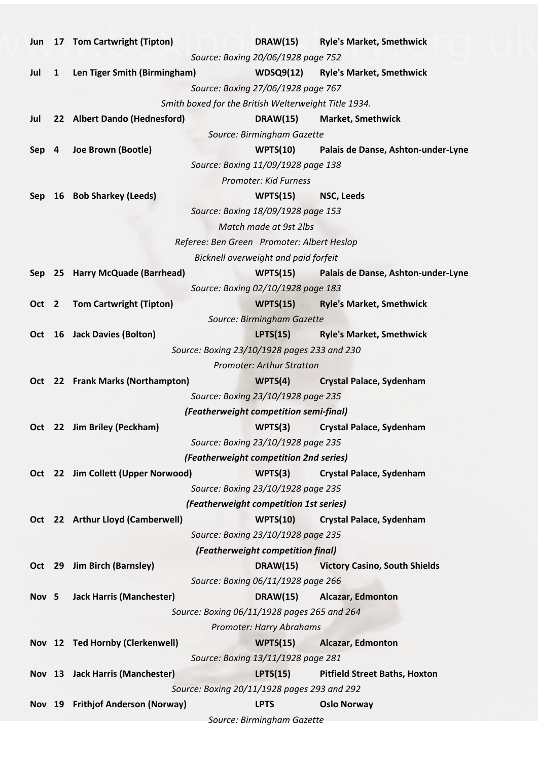|                                            |              | Jun 17 Tom Cartwright (Tipton)     | <b>DRAW(15)</b><br><b>Ryle's Market, Smethwick</b>      |  |  |
|--------------------------------------------|--------------|------------------------------------|---------------------------------------------------------|--|--|
|                                            |              |                                    | Source: Boxing 20/06/1928 page 752                      |  |  |
| Jul                                        | $\mathbf{1}$ | Len Tiger Smith (Birmingham)       | <b>WDSQ9(12)</b><br><b>Ryle's Market, Smethwick</b>     |  |  |
|                                            |              |                                    | Source: Boxing 27/06/1928 page 767                      |  |  |
|                                            |              |                                    | Smith boxed for the British Welterweight Title 1934.    |  |  |
| Jul                                        |              | 22 Albert Dando (Hednesford)       | <b>DRAW(15)</b><br><b>Market, Smethwick</b>             |  |  |
|                                            |              |                                    | Source: Birmingham Gazette                              |  |  |
| Sep 4                                      |              | Joe Brown (Bootle)                 | Palais de Danse, Ashton-under-Lyne<br>WPTS(10)          |  |  |
|                                            |              |                                    | Source: Boxing 11/09/1928 page 138                      |  |  |
|                                            |              |                                    | Promoter: Kid Furness                                   |  |  |
| Sep                                        |              | 16 Bob Sharkey (Leeds)             | WPTS(15)<br>NSC, Leeds                                  |  |  |
|                                            |              |                                    | Source: Boxing 18/09/1928 page 153                      |  |  |
|                                            |              |                                    | Match made at 9st 2lbs                                  |  |  |
| Referee: Ben Green Promoter: Albert Heslop |              |                                    |                                                         |  |  |
|                                            |              |                                    | Bicknell overweight and paid forfeit                    |  |  |
|                                            |              | Sep 25 Harry McQuade (Barrhead)    | WPTS(15)<br>Palais de Danse, Ashton-under-Lyne          |  |  |
|                                            |              |                                    | Source: Boxing 02/10/1928 page 183                      |  |  |
| Oct 2                                      |              | <b>Tom Cartwright (Tipton)</b>     | WPTS(15)<br><b>Ryle's Market, Smethwick</b>             |  |  |
|                                            |              |                                    | Source: Birmingham Gazette                              |  |  |
|                                            |              | Oct 16 Jack Davies (Bolton)        | LPTS(15)<br><b>Ryle's Market, Smethwick</b>             |  |  |
|                                            |              |                                    | Source: Boxing 23/10/1928 pages 233 and 230             |  |  |
|                                            |              |                                    | <b>Promoter: Arthur Stratton</b>                        |  |  |
|                                            |              | Oct 22 Frank Marks (Northampton)   | <b>Crystal Palace, Sydenham</b><br>WPTS(4)              |  |  |
|                                            |              |                                    | Source: Boxing 23/10/1928 page 235                      |  |  |
|                                            |              |                                    | (Featherweight competition semi-final)                  |  |  |
|                                            |              | Oct 22 Jim Briley (Peckham)        | WPTS(3)<br><b>Crystal Palace, Sydenham</b>              |  |  |
|                                            |              |                                    | Source: Boxing 23/10/1928 page 235                      |  |  |
|                                            |              |                                    | (Featherweight competition 2nd series)                  |  |  |
|                                            |              | Oct 22 Jim Collett (Upper Norwood) | WPTS(3)<br><b>Crystal Palace, Sydenham</b>              |  |  |
|                                            |              |                                    | Source: Boxing 23/10/1928 page 235                      |  |  |
|                                            |              |                                    | (Featherweight competition 1st series)                  |  |  |
|                                            |              | Oct 22 Arthur Lloyd (Camberwell)   | <b>WPTS(10)</b><br><b>Crystal Palace, Sydenham</b>      |  |  |
|                                            |              |                                    | Source: Boxing 23/10/1928 page 235                      |  |  |
|                                            |              |                                    | (Featherweight competition final)                       |  |  |
|                                            |              | Oct 29 Jim Birch (Barnsley)        | <b>DRAW(15)</b><br><b>Victory Casino, South Shields</b> |  |  |
|                                            |              |                                    | Source: Boxing 06/11/1928 page 266                      |  |  |
| Nov 5                                      |              | <b>Jack Harris (Manchester)</b>    | <b>DRAW(15)</b><br><b>Alcazar, Edmonton</b>             |  |  |
|                                            |              |                                    | Source: Boxing 06/11/1928 pages 265 and 264             |  |  |
|                                            |              |                                    | Promoter: Harry Abrahams                                |  |  |
|                                            |              | Nov 12 Ted Hornby (Clerkenwell)    | WPTS(15)<br><b>Alcazar, Edmonton</b>                    |  |  |
|                                            |              |                                    | Source: Boxing 13/11/1928 page 281                      |  |  |
|                                            |              | Nov 13 Jack Harris (Manchester)    | LPTS(15)<br><b>Pitfield Street Baths, Hoxton</b>        |  |  |
|                                            |              |                                    | Source: Boxing 20/11/1928 pages 293 and 292             |  |  |
|                                            |              | Nov 19 Frithjof Anderson (Norway)  | <b>LPTS</b><br><b>Oslo Norway</b>                       |  |  |
|                                            |              |                                    | Source: Birmingham Gazette                              |  |  |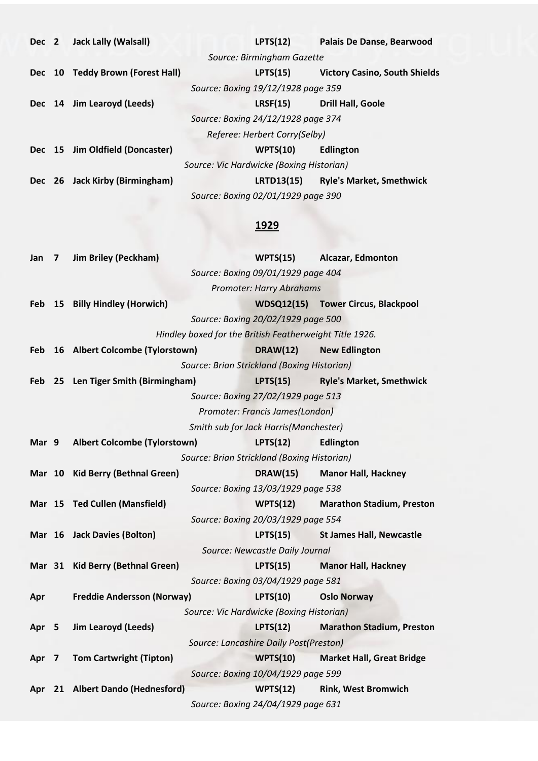| Dec 2 | <b>Jack Lally (Walsall)</b>      | LPTS(12)                                 | <b>Palais De Danse, Bearwood</b>     |
|-------|----------------------------------|------------------------------------------|--------------------------------------|
|       |                                  | Source: Birmingham Gazette               |                                      |
|       | Dec 10 Teddy Brown (Forest Hall) | LPTS(15)                                 | <b>Victory Casino, South Shields</b> |
|       |                                  | Source: Boxing 19/12/1928 page 359       |                                      |
|       | Dec 14 Jim Learoyd (Leeds)       | LRSF(15)                                 | <b>Drill Hall, Goole</b>             |
|       |                                  | Source: Boxing 24/12/1928 page 374       |                                      |
|       |                                  | Referee: Herbert Corry(Selby)            |                                      |
|       | Dec 15 Jim Oldfield (Doncaster)  | WPTS(10)                                 | <b>Edlington</b>                     |
|       |                                  | Source: Vic Hardwicke (Boxing Historian) |                                      |
|       | Dec 26 Jack Kirby (Birmingham)   | <b>LRTD13(15)</b>                        | <b>Ryle's Market, Smethwick</b>      |
|       |                                  | Source: Boxing 02/01/1929 page 390       |                                      |

| Jan        | 7              | <b>Jim Briley (Peckham)</b>                             | WPTS(15)                                    | <b>Alcazar, Edmonton</b>           |
|------------|----------------|---------------------------------------------------------|---------------------------------------------|------------------------------------|
|            |                |                                                         | Source: Boxing 09/01/1929 page 404          |                                    |
|            |                |                                                         | <b>Promoter: Harry Abrahams</b>             |                                    |
| Feb        | 15             | <b>Billy Hindley (Horwich)</b>                          |                                             | WDSQ12(15) Tower Circus, Blackpool |
|            |                |                                                         | Source: Boxing 20/02/1929 page 500          |                                    |
|            |                | Hindley boxed for the British Featherweight Title 1926. |                                             |                                    |
| <b>Feb</b> |                | 16 Albert Colcombe (Tylorstown)                         | <b>DRAW(12)</b>                             | <b>New Edlington</b>               |
|            |                |                                                         | Source: Brian Strickland (Boxing Historian) |                                    |
| Feb        | 25             | Len Tiger Smith (Birmingham)                            | LPTS(15)                                    | <b>Ryle's Market, Smethwick</b>    |
|            |                |                                                         | Source: Boxing 27/02/1929 page 513          |                                    |
|            |                |                                                         | Promoter: Francis James(London)             |                                    |
|            |                |                                                         | Smith sub for Jack Harris(Manchester)       |                                    |
| Mar 9      |                | <b>Albert Colcombe (Tylorstown)</b>                     | LPTS(12)                                    | <b>Edlington</b>                   |
|            |                |                                                         | Source: Brian Strickland (Boxing Historian) |                                    |
|            |                | Mar 10 Kid Berry (Bethnal Green)                        | <b>DRAW(15)</b>                             | <b>Manor Hall, Hackney</b>         |
|            |                |                                                         | Source: Boxing 13/03/1929 page 538          |                                    |
|            |                | Mar 15 Ted Cullen (Mansfield)                           | WPTS(12)                                    | <b>Marathon Stadium, Preston</b>   |
|            |                |                                                         | Source: Boxing 20/03/1929 page 554          |                                    |
|            |                | Mar 16 Jack Davies (Bolton)                             | LPTS(15)                                    | <b>St James Hall, Newcastle</b>    |
|            |                |                                                         | Source: Newcastle Daily Journal             |                                    |
|            |                | Mar 31 Kid Berry (Bethnal Green)                        | LPTS(15)                                    | <b>Manor Hall, Hackney</b>         |
|            |                |                                                         | Source: Boxing 03/04/1929 page 581          |                                    |
| Apr        |                | <b>Freddie Andersson (Norway)</b>                       | <b>LPTS(10)</b>                             | <b>Oslo Norway</b>                 |
|            |                |                                                         | Source: Vic Hardwicke (Boxing Historian)    |                                    |
| Apr        | 5              | <b>Jim Learoyd (Leeds)</b>                              | LPTS(12)                                    | <b>Marathon Stadium, Preston</b>   |
|            |                |                                                         | Source: Lancashire Daily Post(Preston)      |                                    |
| Apr        | $\overline{7}$ | <b>Tom Cartwright (Tipton)</b>                          | <b>WPTS(10)</b>                             | <b>Market Hall, Great Bridge</b>   |
|            |                |                                                         | Source: Boxing 10/04/1929 page 599          |                                    |
| Apr        |                | 21 Albert Dando (Hednesford)                            | WPTS(12)                                    | <b>Rink, West Bromwich</b>         |
|            |                |                                                         | Source: Boxing 24/04/1929 page 631          |                                    |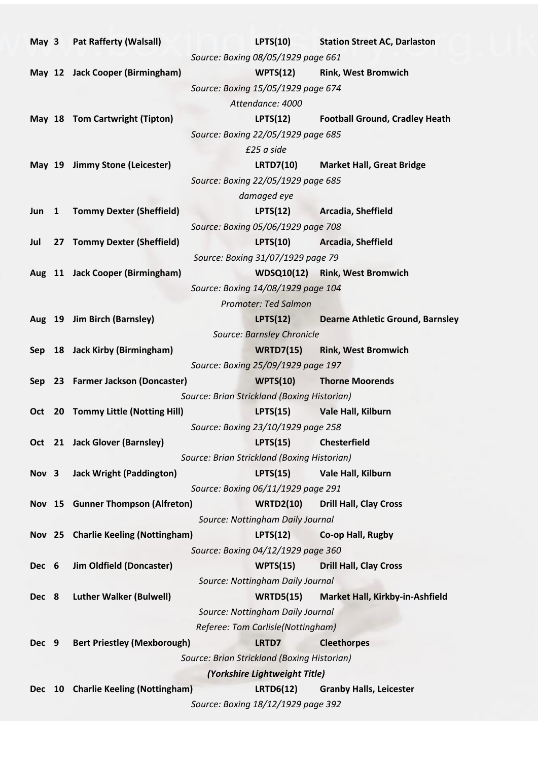|       |                                             | May 3 Pat Rafferty (Walsall)        | LPTS(10)                                               | <b>Station Street AC, Darlaston</b>     |
|-------|---------------------------------------------|-------------------------------------|--------------------------------------------------------|-----------------------------------------|
|       |                                             |                                     | Source: Boxing 08/05/1929 page 661                     |                                         |
|       |                                             | May 12 Jack Cooper (Birmingham)     |                                                        | WPTS(12) Rink, West Bromwich            |
|       |                                             |                                     | Source: Boxing 15/05/1929 page 674                     |                                         |
|       |                                             |                                     | Attendance: 4000                                       |                                         |
|       |                                             | May 18 Tom Cartwright (Tipton)      | LPTS(12)                                               | <b>Football Ground, Cradley Heath</b>   |
|       |                                             |                                     | Source: Boxing 22/05/1929 page 685                     |                                         |
|       |                                             |                                     | £25 a side                                             |                                         |
|       |                                             | May 19 Jimmy Stone (Leicester)      | <b>LRTD7(10)</b>                                       | <b>Market Hall, Great Bridge</b>        |
|       |                                             |                                     | Source: Boxing 22/05/1929 page 685                     |                                         |
|       |                                             |                                     | damaged eye                                            |                                         |
|       |                                             | Jun 1 Tommy Dexter (Sheffield)      |                                                        | LPTS(12) Arcadia, Sheffield             |
|       |                                             |                                     | Source: Boxing 05/06/1929 page 708                     |                                         |
| Jul   |                                             | 27 Tommy Dexter (Sheffield)         | LPTS(10)                                               | Arcadia, Sheffield                      |
|       |                                             |                                     | Source: Boxing 31/07/1929 page 79                      |                                         |
|       |                                             | Aug 11 Jack Cooper (Birmingham)     |                                                        | WDSQ10(12) Rink, West Bromwich          |
|       |                                             |                                     | Source: Boxing 14/08/1929 page 104                     |                                         |
|       |                                             |                                     | <b>Promoter: Ted Salmon</b>                            |                                         |
|       |                                             | Aug 19 Jim Birch (Barnsley)         | LPTS(12)                                               | <b>Dearne Athletic Ground, Barnsley</b> |
|       |                                             |                                     | Source: Barnsley Chronicle                             |                                         |
|       |                                             | Sep 18 Jack Kirby (Birmingham)      |                                                        | WRTD7(15) Rink, West Bromwich           |
|       |                                             |                                     | Source: Boxing 25/09/1929 page 197                     |                                         |
|       |                                             | Sep 23 Farmer Jackson (Doncaster)   | <b>WPTS(10)</b>                                        | <b>Thorne Moorends</b>                  |
|       |                                             |                                     | Source: Brian Strickland (Boxing Historian)            |                                         |
|       |                                             | Oct 20 Tommy Little (Notting Hill)  | LPTS(15)                                               | <b>Vale Hall, Kilburn</b>               |
|       |                                             |                                     | Source: Boxing 23/10/1929 page 258                     |                                         |
|       |                                             | Oct 21 Jack Glover (Barnsley)       | <b>LPTS(15)</b>                                        | <b>Chesterfield</b>                     |
|       | Source: Brian Strickland (Boxing Historian) |                                     |                                                        |                                         |
| Nov 3 |                                             |                                     |                                                        |                                         |
|       |                                             | <b>Jack Wright (Paddington)</b>     | LPTS(15)                                               | Vale Hall, Kilburn                      |
|       |                                             |                                     | Source: Boxing 06/11/1929 page 291                     |                                         |
|       |                                             | Nov 15 Gunner Thompson (Alfreton)   | <b>WRTD2(10)</b>                                       | <b>Drill Hall, Clay Cross</b>           |
|       |                                             |                                     | Source: Nottingham Daily Journal                       |                                         |
|       |                                             | Nov 25 Charlie Keeling (Nottingham) | LPTS(12)                                               | Co-op Hall, Rugby                       |
|       |                                             |                                     | Source: Boxing 04/12/1929 page 360                     |                                         |
| Dec 6 |                                             | <b>Jim Oldfield (Doncaster)</b>     | WPTS(15)                                               | <b>Drill Hall, Clay Cross</b>           |
|       |                                             |                                     | Source: Nottingham Daily Journal                       |                                         |
| Dec 8 |                                             | <b>Luther Walker (Bulwell)</b>      | <b>WRTD5(15)</b>                                       | Market Hall, Kirkby-in-Ashfield         |
|       |                                             |                                     | Source: Nottingham Daily Journal                       |                                         |
|       |                                             |                                     | Referee: Tom Carlisle(Nottingham)                      |                                         |
| Dec 9 |                                             | <b>Bert Priestley (Mexborough)</b>  | LRTD7                                                  | <b>Cleethorpes</b>                      |
|       |                                             |                                     | Source: Brian Strickland (Boxing Historian)            |                                         |
|       |                                             |                                     | (Yorkshire Lightweight Title)                          |                                         |
| Dec   | 10                                          | <b>Charlie Keeling (Nottingham)</b> | <b>LRTD6(12)</b><br>Source: Boxing 18/12/1929 page 392 | <b>Granby Halls, Leicester</b>          |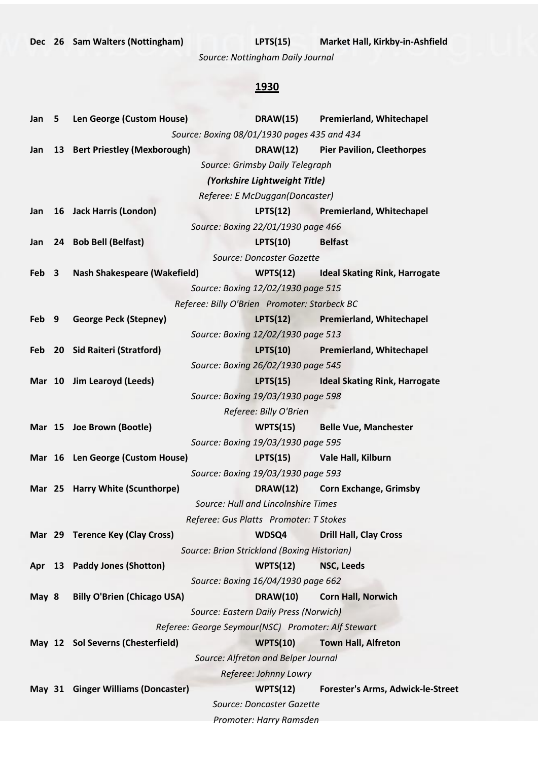*Source: Nottingham Daily Journal*

| Jan           | 5                       | Len George (Custom House)           |                                                    | <b>DRAW(15)</b> | <b>Premierland, Whitechapel</b>      |
|---------------|-------------------------|-------------------------------------|----------------------------------------------------|-----------------|--------------------------------------|
|               |                         |                                     | Source: Boxing 08/01/1930 pages 435 and 434        |                 |                                      |
| Jan           |                         | 13 Bert Priestley (Mexborough)      |                                                    | <b>DRAW(12)</b> | <b>Pier Pavilion, Cleethorpes</b>    |
|               |                         |                                     | Source: Grimsby Daily Telegraph                    |                 |                                      |
|               |                         |                                     | (Yorkshire Lightweight Title)                      |                 |                                      |
|               |                         |                                     | Referee: E McDuggan(Doncaster)                     |                 |                                      |
| Jan           |                         | 16 Jack Harris (London)             | LPTS(12)                                           |                 | <b>Premierland, Whitechapel</b>      |
|               |                         |                                     | Source: Boxing 22/01/1930 page 466                 |                 |                                      |
| Jan           |                         | 24 Bob Bell (Belfast)               | <b>LPTS(10)</b>                                    |                 | <b>Belfast</b>                       |
|               |                         |                                     | Source: Doncaster Gazette                          |                 |                                      |
| Feb           | $\overline{\mathbf{3}}$ | <b>Nash Shakespeare (Wakefield)</b> | WPTS(12)                                           |                 | <b>Ideal Skating Rink, Harrogate</b> |
|               |                         |                                     | Source: Boxing 12/02/1930 page 515                 |                 |                                      |
|               |                         |                                     | Referee: Billy O'Brien Promoter: Starbeck BC       |                 |                                      |
| Feb           | - 9                     | <b>George Peck (Stepney)</b>        |                                                    | LPTS(12)        | <b>Premierland, Whitechapel</b>      |
|               |                         |                                     | Source: Boxing 12/02/1930 page 513                 |                 |                                      |
| Feb           |                         | 20 Sid Raiteri (Stratford)          |                                                    | LPTS(10)        | <b>Premierland, Whitechapel</b>      |
|               |                         |                                     | Source: Boxing 26/02/1930 page 545                 |                 |                                      |
|               |                         | Mar 10 Jim Learoyd (Leeds)          | LPTS(15)                                           |                 | <b>Ideal Skating Rink, Harrogate</b> |
|               |                         |                                     | Source: Boxing 19/03/1930 page 598                 |                 |                                      |
|               |                         |                                     | Referee: Billy O'Brien                             |                 |                                      |
|               |                         | Mar 15 Joe Brown (Bootle)           |                                                    | WPTS(15)        | <b>Belle Vue, Manchester</b>         |
|               |                         |                                     | Source: Boxing 19/03/1930 page 595                 |                 |                                      |
|               |                         | Mar 16 Len George (Custom House)    |                                                    |                 | LPTS(15) Vale Hall, Kilburn          |
|               |                         |                                     | Source: Boxing 19/03/1930 page 593                 |                 |                                      |
| <b>Mar</b> 25 |                         | <b>Harry White (Scunthorpe)</b>     |                                                    | <b>DRAW(12)</b> | <b>Corn Exchange, Grimsby</b>        |
|               |                         |                                     | Source: Hull and Lincolnshire Times                |                 |                                      |
|               |                         |                                     | Referee: Gus Platts Promoter: T Stokes             |                 |                                      |
|               |                         | Mar 29 Terence Key (Clay Cross)     | WDSQ4                                              |                 | <b>Drill Hall, Clay Cross</b>        |
|               |                         |                                     | Source: Brian Strickland (Boxing Historian)        |                 |                                      |
| Apr           |                         | 13 Paddy Jones (Shotton)            | WPTS(12)                                           |                 | NSC, Leeds                           |
|               |                         |                                     | Source: Boxing 16/04/1930 page 662                 |                 |                                      |
| May 8         |                         | <b>Billy O'Brien (Chicago USA)</b>  | <b>DRAW(10)</b>                                    |                 | <b>Corn Hall, Norwich</b>            |
|               |                         |                                     | Source: Eastern Daily Press (Norwich)              |                 |                                      |
|               |                         |                                     | Referee: George Seymour(NSC) Promoter: Alf Stewart |                 |                                      |
|               |                         | May 12 Sol Severns (Chesterfield)   | <b>WPTS(10)</b>                                    |                 | <b>Town Hall, Alfreton</b>           |
|               |                         |                                     | Source: Alfreton and Belper Journal                |                 |                                      |
|               |                         |                                     | Referee: Johnny Lowry                              |                 |                                      |
|               |                         | May 31 Ginger Williams (Doncaster)  | WPTS(12)                                           |                 | Forester's Arms, Adwick-le-Street    |
|               |                         |                                     | Source: Doncaster Gazette                          |                 |                                      |
|               |                         |                                     | Promoter: Harry Ramsden                            |                 |                                      |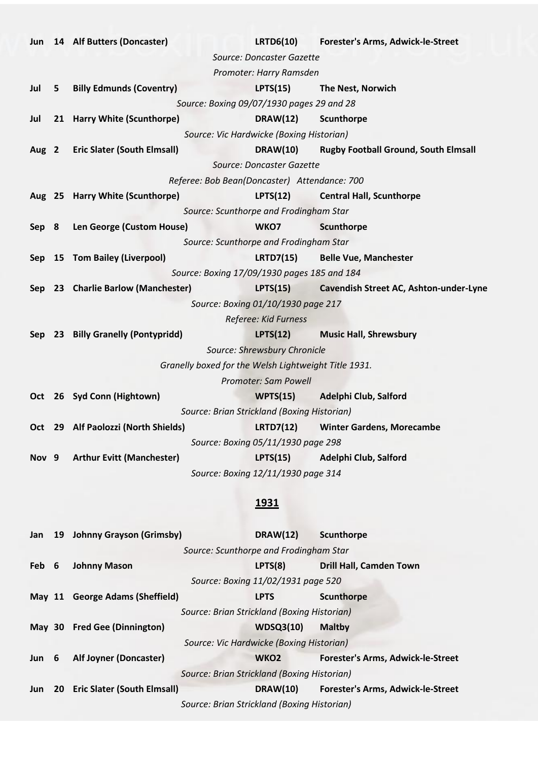| Jun              |                                        | 14 Alf Butters (Doncaster)          | <b>LRTD6(10)</b>                                     | Forester's Arms, Adwick-le-Street           |
|------------------|----------------------------------------|-------------------------------------|------------------------------------------------------|---------------------------------------------|
|                  |                                        |                                     | Source: Doncaster Gazette                            |                                             |
|                  |                                        |                                     | Promoter: Harry Ramsden                              |                                             |
| Jul              | 5                                      | <b>Billy Edmunds (Coventry)</b>     | LPTS(15)                                             | The Nest, Norwich                           |
|                  |                                        |                                     | Source: Boxing 09/07/1930 pages 29 and 28            |                                             |
| Jul              |                                        | 21 Harry White (Scunthorpe)         | <b>DRAW(12)</b>                                      | Scunthorpe                                  |
|                  |                                        |                                     | Source: Vic Hardwicke (Boxing Historian)             |                                             |
| Aug 2            |                                        | <b>Eric Slater (South Elmsall)</b>  | <b>DRAW(10)</b>                                      | <b>Rugby Football Ground, South Elmsall</b> |
|                  |                                        |                                     | Source: Doncaster Gazette                            |                                             |
|                  |                                        |                                     | Referee: Bob Bean(Doncaster) Attendance: 700         |                                             |
|                  |                                        | Aug 25 Harry White (Scunthorpe)     | LPTS(12)                                             | <b>Central Hall, Scunthorpe</b>             |
|                  |                                        |                                     | Source: Scunthorpe and Frodingham Star               |                                             |
| Sep 8            |                                        | Len George (Custom House)           | WKO7                                                 | <b>Scunthorpe</b>                           |
|                  | Source: Scunthorpe and Frodingham Star |                                     |                                                      |                                             |
| Sep              |                                        | 15 Tom Bailey (Liverpool)           | <b>LRTD7(15)</b>                                     | <b>Belle Vue, Manchester</b>                |
|                  |                                        |                                     | Source: Boxing 17/09/1930 pages 185 and 184          |                                             |
|                  |                                        | Sep 23 Charlie Barlow (Manchester)  | <b>LPTS(15)</b>                                      | Cavendish Street AC, Ashton-under-Lyne      |
|                  |                                        |                                     | Source: Boxing 01/10/1930 page 217                   |                                             |
|                  |                                        |                                     | Referee: Kid Furness                                 |                                             |
|                  |                                        | Sep 23 Billy Granelly (Pontypridd)  | LPTS(12)                                             | <b>Music Hall, Shrewsbury</b>               |
|                  |                                        |                                     | Source: Shrewsbury Chronicle                         |                                             |
|                  |                                        |                                     | Granelly boxed for the Welsh Lightweight Title 1931. |                                             |
|                  |                                        |                                     | <b>Promoter: Sam Powell</b>                          |                                             |
|                  |                                        | Oct 26 Syd Conn (Hightown)          | WPTS(15)                                             | Adelphi Club, Salford                       |
|                  |                                        |                                     | Source: Brian Strickland (Boxing Historian)          |                                             |
|                  |                                        | Oct 29 Alf Paolozzi (North Shields) | <b>LRTD7(12)</b>                                     | <b>Winter Gardens, Morecambe</b>            |
|                  |                                        |                                     | Source: Boxing 05/11/1930 page 298                   |                                             |
| Nov <sub>9</sub> |                                        | <b>Arthur Evitt (Manchester)</b>    | LPTS(15)                                             | Adelphi Club, Salford                       |
|                  |                                        |                                     | Source: Boxing 12/11/1930 page 314                   |                                             |

| Jan        |           | 19 Johnny Grayson (Grimsby)        | <b>DRAW(12)</b>                             | Scunthorpe                               |
|------------|-----------|------------------------------------|---------------------------------------------|------------------------------------------|
|            |           |                                    | Source: Scunthorpe and Frodingham Star      |                                          |
| Feb 6      |           | <b>Johnny Mason</b>                | LPTS(8)                                     | <b>Drill Hall, Camden Town</b>           |
|            |           |                                    | Source: Boxing 11/02/1931 page 520          |                                          |
| May $11$   |           | <b>George Adams (Sheffield)</b>    | <b>LPTS</b>                                 | Scunthorpe                               |
|            |           |                                    | Source: Brian Strickland (Boxing Historian) |                                          |
| May $30$   |           | <b>Fred Gee (Dinnington)</b>       | <b>WDSQ3(10)</b>                            | <b>Maltby</b>                            |
|            |           |                                    | Source: Vic Hardwicke (Boxing Historian)    |                                          |
| Jun 6      |           | Alf Joyner (Doncaster)             | WKO <sub>2</sub>                            | <b>Forester's Arms, Adwick-le-Street</b> |
|            |           |                                    | Source: Brian Strickland (Boxing Historian) |                                          |
| <b>Jun</b> | <b>20</b> | <b>Eric Slater (South Elmsall)</b> | <b>DRAW(10)</b>                             | Forester's Arms, Adwick-le-Street        |
|            |           |                                    | Source: Brian Strickland (Boxing Historian) |                                          |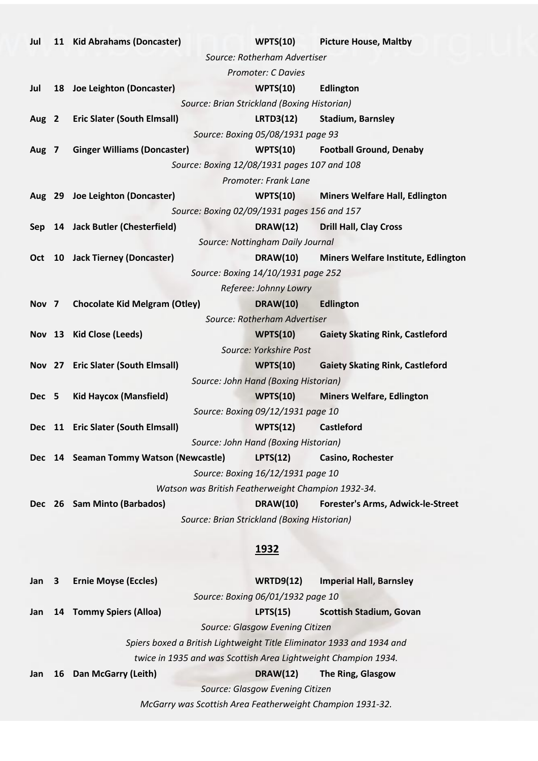| Jul              |   | 11 Kid Abrahams (Doncaster)                                           | WPTS(10)                                    | <b>Picture House, Maltby</b>             |
|------------------|---|-----------------------------------------------------------------------|---------------------------------------------|------------------------------------------|
|                  |   |                                                                       | Source: Rotherham Advertiser                |                                          |
|                  |   |                                                                       | <b>Promoter: C Davies</b>                   |                                          |
| Jul              |   | 18 Joe Leighton (Doncaster)                                           | WPTS(10)                                    | <b>Edlington</b>                         |
|                  |   |                                                                       | Source: Brian Strickland (Boxing Historian) |                                          |
|                  |   | Aug 2 Eric Slater (South Elmsall)                                     | <b>LRTD3(12)</b>                            | <b>Stadium, Barnsley</b>                 |
|                  |   |                                                                       | Source: Boxing 05/08/1931 page 93           |                                          |
| Aug 7            |   | <b>Ginger Williams (Doncaster)</b>                                    | WPTS(10)                                    | <b>Football Ground, Denaby</b>           |
|                  |   |                                                                       | Source: Boxing 12/08/1931 pages 107 and 108 |                                          |
|                  |   |                                                                       | Promoter: Frank Lane                        |                                          |
|                  |   | Aug 29 Joe Leighton (Doncaster)                                       | WPTS(10)                                    | <b>Miners Welfare Hall, Edlington</b>    |
|                  |   |                                                                       | Source: Boxing 02/09/1931 pages 156 and 157 |                                          |
|                  |   | Sep 14 Jack Butler (Chesterfield)                                     | <b>DRAW(12)</b>                             | <b>Drill Hall, Clay Cross</b>            |
|                  |   |                                                                       | Source: Nottingham Daily Journal            |                                          |
|                  |   | Oct 10 Jack Tierney (Doncaster)                                       | <b>DRAW(10)</b>                             | Miners Welfare Institute, Edlington      |
|                  |   |                                                                       | Source: Boxing 14/10/1931 page 252          |                                          |
|                  |   |                                                                       | Referee: Johnny Lowry                       |                                          |
| Nov <sub>7</sub> |   | <b>Chocolate Kid Melgram (Otley)</b>                                  | <b>DRAW(10)</b>                             | <b>Edlington</b>                         |
|                  |   |                                                                       | Source: Rotherham Advertiser                |                                          |
|                  |   | Nov 13 Kid Close (Leeds)                                              |                                             | WPTS(10) Gaiety Skating Rink, Castleford |
|                  |   |                                                                       | Source: Yorkshire Post                      |                                          |
|                  |   | Nov 27 Eric Slater (South Elmsall)                                    | WPTS(10)                                    | <b>Gaiety Skating Rink, Castleford</b>   |
|                  |   |                                                                       | Source: John Hand (Boxing Historian)        |                                          |
| Dec 5            |   | <b>Kid Haycox (Mansfield)</b>                                         | WPTS(10)                                    | <b>Miners Welfare, Edlington</b>         |
|                  |   |                                                                       | Source: Boxing 09/12/1931 page 10           |                                          |
|                  |   | Dec 11 Eric Slater (South Elmsall)                                    | WPTS(12)                                    | <b>Castleford</b>                        |
|                  |   |                                                                       | Source: John Hand (Boxing Historian)        |                                          |
| <b>Dec</b>       |   | 14 Seaman Tommy Watson (Newcastle)                                    | LPTS(12)                                    | Casino, Rochester                        |
|                  |   |                                                                       | Source: Boxing 16/12/1931 page 10           |                                          |
|                  |   | Watson was British Featherweight Champion 1932-34.                    |                                             |                                          |
|                  |   | Dec 26 Sam Minto (Barbados)                                           | <b>DRAW(10)</b>                             | <b>Forester's Arms, Adwick-le-Street</b> |
|                  |   |                                                                       | Source: Brian Strickland (Boxing Historian) |                                          |
|                  |   |                                                                       |                                             |                                          |
|                  |   |                                                                       | <u>1932</u>                                 |                                          |
|                  |   |                                                                       |                                             |                                          |
| Jan              | 3 | <b>Ernie Moyse (Eccles)</b>                                           | <b>WRTD9(12)</b>                            | <b>Imperial Hall, Barnsley</b>           |
|                  |   |                                                                       | Source: Boxing 06/01/1932 page 10           |                                          |
| Jan              |   | 14 Tommy Spiers (Alloa)                                               | LPTS(15)                                    | <b>Scottish Stadium, Govan</b>           |
|                  |   |                                                                       | Source: Glasgow Evening Citizen             |                                          |
|                  |   | Spiers boxed a British Lightweight Title Eliminator 1933 and 1934 and |                                             |                                          |
|                  |   | twice in 1935 and was Scottish Area Lightweight Champion 1934.        |                                             |                                          |
| Jan              |   | 16 Dan McGarry (Leith)                                                | <b>DRAW(12)</b>                             | The Ring, Glasgow                        |
|                  |   |                                                                       | Source: Glasgow Evening Citizen             |                                          |
|                  |   | McGarry was Scottish Area Featherweight Champion 1931-32.             |                                             |                                          |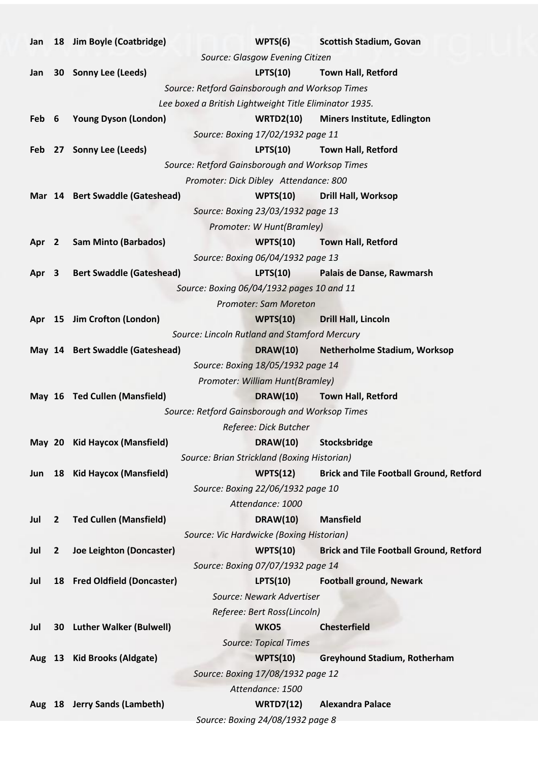| Jan              |              | 18 Jim Boyle (Coatbridge)       | WPTS(6)                                                | <b>Scottish Stadium, Govan</b>                 |
|------------------|--------------|---------------------------------|--------------------------------------------------------|------------------------------------------------|
|                  |              |                                 | Source: Glasgow Evening Citizen                        |                                                |
| Jan              |              | 30 Sonny Lee (Leeds)            | <b>LPTS(10)</b>                                        | <b>Town Hall, Retford</b>                      |
|                  |              |                                 | Source: Retford Gainsborough and Worksop Times         |                                                |
|                  |              |                                 | Lee boxed a British Lightweight Title Eliminator 1935. |                                                |
| Feb 6            |              | <b>Young Dyson (London)</b>     | <b>WRTD2(10)</b>                                       | <b>Miners Institute, Edlington</b>             |
|                  |              |                                 | Source: Boxing 17/02/1932 page 11                      |                                                |
| <b>Feb</b>       |              | 27 Sonny Lee (Leeds)            | <b>LPTS(10)</b>                                        | <b>Town Hall, Retford</b>                      |
|                  |              |                                 | Source: Retford Gainsborough and Worksop Times         |                                                |
|                  |              |                                 | Promoter: Dick Dibley Attendance: 800                  |                                                |
|                  |              | Mar 14 Bert Swaddle (Gateshead) | WPTS(10)                                               | <b>Drill Hall, Worksop</b>                     |
|                  |              |                                 | Source: Boxing 23/03/1932 page 13                      |                                                |
|                  |              |                                 | Promoter: W Hunt(Bramley)                              |                                                |
| Apr <sub>2</sub> |              | <b>Sam Minto (Barbados)</b>     | WPTS(10)                                               | <b>Town Hall, Retford</b>                      |
|                  |              |                                 | Source: Boxing 06/04/1932 page 13                      |                                                |
| Apr 3            |              | <b>Bert Swaddle (Gateshead)</b> | <b>LPTS(10)</b>                                        | Palais de Danse, Rawmarsh                      |
|                  |              |                                 | Source: Boxing 06/04/1932 pages 10 and 11              |                                                |
|                  |              |                                 | Promoter: Sam Moreton                                  |                                                |
|                  |              | Apr 15 Jim Crofton (London)     | WPTS(10)                                               | <b>Drill Hall, Lincoln</b>                     |
|                  |              |                                 | Source: Lincoln Rutland and Stamford Mercury           |                                                |
|                  |              | May 14 Bert Swaddle (Gateshead) | <b>DRAW(10)</b>                                        | <b>Netherholme Stadium, Worksop</b>            |
|                  |              |                                 | Source: Boxing 18/05/1932 page 14                      |                                                |
|                  |              |                                 | Promoter: William Hunt(Bramley)                        |                                                |
|                  |              | May 16 Ted Cullen (Mansfield)   | <b>DRAW(10)</b>                                        | <b>Town Hall, Retford</b>                      |
|                  |              |                                 | Source: Retford Gainsborough and Worksop Times         |                                                |
|                  |              |                                 | Referee: Dick Butcher                                  |                                                |
|                  |              | May 20 Kid Haycox (Mansfield)   | <b>DRAW(10)</b>                                        | Stocksbridge                                   |
|                  |              |                                 | Source: Brian Strickland (Boxing Historian)            |                                                |
| Jun              |              | 18 Kid Haycox (Mansfield)       | WPTS(12)                                               | <b>Brick and Tile Football Ground, Retford</b> |
|                  |              |                                 | Source: Boxing 22/06/1932 page 10                      |                                                |
|                  |              |                                 | Attendance: 1000                                       |                                                |
| Jul              | $\mathbf{2}$ | <b>Ted Cullen (Mansfield)</b>   | <b>DRAW(10)</b>                                        | <b>Mansfield</b>                               |
|                  |              |                                 | Source: Vic Hardwicke (Boxing Historian)               |                                                |
| Jul              | $\mathbf{2}$ | Joe Leighton (Doncaster)        | <b>WPTS(10)</b>                                        | <b>Brick and Tile Football Ground, Retford</b> |
|                  |              |                                 | Source: Boxing 07/07/1932 page 14                      |                                                |
| Jul              |              | 18 Fred Oldfield (Doncaster)    | LPTS(10)                                               | <b>Football ground, Newark</b>                 |
|                  |              |                                 | Source: Newark Advertiser                              |                                                |
|                  |              |                                 | Referee: Bert Ross(Lincoln)                            |                                                |
| Jul              |              | 30 Luther Walker (Bulwell)      | WKO5                                                   | <b>Chesterfield</b>                            |
|                  |              |                                 | <b>Source: Topical Times</b>                           |                                                |
|                  |              | Aug 13 Kid Brooks (Aldgate)     | WPTS(10)                                               | <b>Greyhound Stadium, Rotherham</b>            |
|                  |              |                                 | Source: Boxing 17/08/1932 page 12                      |                                                |
|                  |              |                                 | Attendance: 1500                                       |                                                |
|                  |              | Aug 18 Jerry Sands (Lambeth)    | <b>WRTD7(12)</b>                                       | <b>Alexandra Palace</b>                        |
|                  |              |                                 | Source: Boxing 24/08/1932 page 8                       |                                                |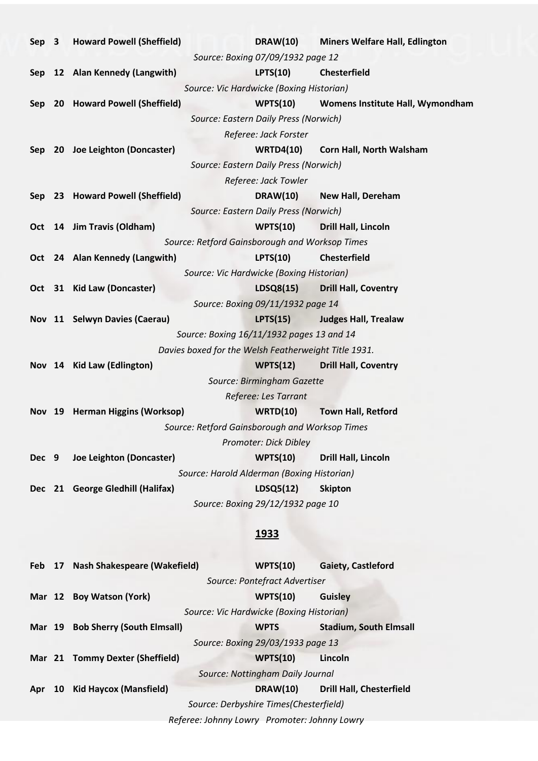| Sep 3 |                 | <b>Howard Powell (Sheffield)</b>  | <b>DRAW(10)</b>                                      | <b>Miners Welfare Hall, Edlington</b> |
|-------|-----------------|-----------------------------------|------------------------------------------------------|---------------------------------------|
|       |                 |                                   | Source: Boxing 07/09/1932 page 12                    |                                       |
|       |                 | Sep 12 Alan Kennedy (Langwith)    | <b>LPTS(10)</b>                                      | <b>Chesterfield</b>                   |
|       |                 |                                   | Source: Vic Hardwicke (Boxing Historian)             |                                       |
|       |                 | Sep 20 Howard Powell (Sheffield)  | WPTS(10)                                             | Womens Institute Hall, Wymondham      |
|       |                 |                                   | Source: Eastern Daily Press (Norwich)                |                                       |
|       |                 |                                   | Referee: Jack Forster                                |                                       |
| Sep   |                 | 20 Joe Leighton (Doncaster)       | <b>WRTD4(10)</b>                                     | Corn Hall, North Walsham              |
|       |                 |                                   | Source: Eastern Daily Press (Norwich)                |                                       |
|       |                 |                                   | Referee: Jack Towler                                 |                                       |
|       |                 | Sep 23 Howard Powell (Sheffield)  | <b>DRAW(10)</b>                                      | <b>New Hall, Dereham</b>              |
|       |                 |                                   | Source: Eastern Daily Press (Norwich)                |                                       |
| Oct   |                 | 14 Jim Travis (Oldham)            | WPTS(10)                                             | Drill Hall, Lincoln                   |
|       |                 |                                   | Source: Retford Gainsborough and Worksop Times       |                                       |
|       |                 | Oct 24 Alan Kennedy (Langwith)    | <b>LPTS(10)</b>                                      | <b>Chesterfield</b>                   |
|       |                 |                                   | Source: Vic Hardwicke (Boxing Historian)             |                                       |
|       |                 | Oct 31 Kid Law (Doncaster)        | LDSQ8(15)                                            | <b>Drill Hall, Coventry</b>           |
|       |                 |                                   | Source: Boxing 09/11/1932 page 14                    |                                       |
|       |                 | Nov 11 Selwyn Davies (Caerau)     | LPTS(15)                                             | <b>Judges Hall, Trealaw</b>           |
|       |                 |                                   | Source: Boxing 16/11/1932 pages 13 and 14            |                                       |
|       |                 |                                   | Davies boxed for the Welsh Featherweight Title 1931. |                                       |
|       |                 | Nov 14 Kid Law (Edlington)        | WPTS(12)                                             | <b>Drill Hall, Coventry</b>           |
|       |                 |                                   | Source: Birmingham Gazette                           |                                       |
|       |                 |                                   | Referee: Les Tarrant                                 |                                       |
|       |                 | Nov 19 Herman Higgins (Worksop)   | <b>WRTD(10)</b>                                      | <b>Town Hall, Retford</b>             |
|       |                 |                                   | Source: Retford Gainsborough and Worksop Times       |                                       |
|       |                 |                                   | Promoter: Dick Dibley                                |                                       |
| Dec 9 |                 | Joe Leighton (Doncaster)          | WPTS(10)                                             | Drill Hall, Lincoln                   |
|       |                 |                                   | Source: Harold Alderman (Boxing Historian)           |                                       |
|       |                 | Dec 21 George Gledhill (Halifax)  | LDSQ5(12)                                            | <b>Skipton</b>                        |
|       |                 |                                   | Source: Boxing 29/12/1932 page 10                    |                                       |
|       |                 |                                   |                                                      |                                       |
|       |                 |                                   | <u>1933</u>                                          |                                       |
|       |                 |                                   |                                                      |                                       |
| Feb   |                 | 17 Nash Shakespeare (Wakefield)   | WPTS(10)                                             | <b>Gaiety, Castleford</b>             |
|       |                 |                                   | Source: Pontefract Advertiser                        |                                       |
|       |                 | Mar 12 Boy Watson (York)          | <b>WPTS(10)</b>                                      | <b>Guisley</b>                        |
|       |                 |                                   | Source: Vic Hardwicke (Boxing Historian)             |                                       |
|       |                 | Mar 19 Bob Sherry (South Elmsall) | <b>WPTS</b>                                          | <b>Stadium, South Elmsall</b>         |
|       |                 |                                   | Source: Boxing 29/03/1933 page 13                    |                                       |
|       |                 | Mar 21 Tommy Dexter (Sheffield)   | <b>WPTS(10)</b>                                      | Lincoln                               |
|       |                 |                                   | Source: Nottingham Daily Journal                     |                                       |
| Apr   | 10 <sub>1</sub> | <b>Kid Haycox (Mansfield)</b>     | <b>DRAW(10)</b>                                      | <b>Drill Hall, Chesterfield</b>       |

*Source: Derbyshire Times(Chesterfield)*

*Referee: Johnny Lowry Promoter: Johnny Lowry*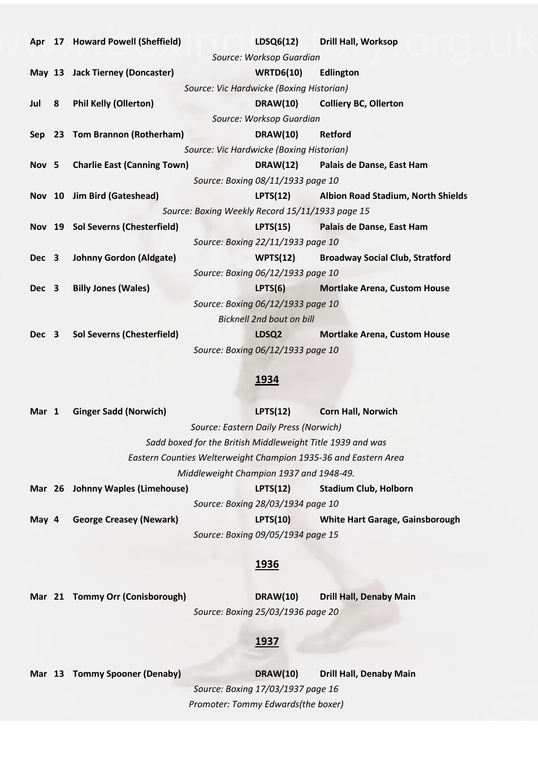|       |   | Apr 17 Howard Powell (Sheffield)  |                                                 | LDSQ6(12) Drill Hall, Worksop               |
|-------|---|-----------------------------------|-------------------------------------------------|---------------------------------------------|
|       |   |                                   | Source: Worksop Guardian                        |                                             |
|       |   | May 13 Jack Tierney (Doncaster)   | <b>WRTD6(10)</b>                                | Edlington                                   |
|       |   |                                   | Source: Vic Hardwicke (Boxing Historian)        |                                             |
| Jul   | 8 | <b>Phil Kelly (Ollerton)</b>      |                                                 | DRAW(10) Colliery BC, Ollerton              |
|       |   |                                   | Source: Worksop Guardian                        |                                             |
|       |   | Sep 23 Tom Brannon (Rotherham)    | <b>DRAW(10)</b>                                 | <b>Retford</b>                              |
|       |   |                                   | Source: Vic Hardwicke (Boxing Historian)        |                                             |
|       |   | Nov 5 Charlie East (Canning Town) |                                                 | DRAW(12) Palais de Danse, East Ham          |
|       |   |                                   | Source: Boxing 08/11/1933 page 10               |                                             |
|       |   | Nov 10 Jim Bird (Gateshead)       |                                                 | LPTS(12) Albion Road Stadium, North Shields |
|       |   |                                   | Source: Boxing Weekly Record 15/11/1933 page 15 |                                             |
|       |   | Nov 19 Sol Severns (Chesterfield) |                                                 | LPTS(15) Palais de Danse, East Ham          |
|       |   |                                   | Source: Boxing 22/11/1933 page 10               |                                             |
|       |   | Dec 3 Johnny Gordon (Aldgate)     |                                                 | WPTS(12) Broadway Social Club, Stratford    |
|       |   |                                   | Source: Boxing 06/12/1933 page 10               |                                             |
| Dec 3 |   | <b>Billy Jones (Wales)</b>        | LPTS(6)                                         | <b>Mortlake Arena, Custom House</b>         |
|       |   |                                   | Source: Boxing 06/12/1933 page 10               |                                             |
|       |   |                                   | <b>Bicknell 2nd bout on bill</b>                |                                             |
| Dec 3 |   | <b>Sol Severns (Chesterfield)</b> | LDSQ2                                           | <b>Mortlake Arena, Custom House</b>         |
|       |   |                                   | Source: Boxing 06/12/1933 page 10               |                                             |

| Mar 1 |  | <b>Ginger Sadd (Norwich)</b>                                    | LPTS(12)                                | <b>Corn Hall, Norwich</b>       |
|-------|--|-----------------------------------------------------------------|-----------------------------------------|---------------------------------|
|       |  |                                                                 | Source: Eastern Daily Press (Norwich)   |                                 |
|       |  | Sadd boxed for the British Middleweight Title 1939 and was      |                                         |                                 |
|       |  | Eastern Counties Welterweight Champion 1935-36 and Eastern Area |                                         |                                 |
|       |  |                                                                 | Middleweight Champion 1937 and 1948-49. |                                 |
|       |  | Mar 26 Johnny Waples (Limehouse)                                | LPTS(12)                                | <b>Stadium Club, Holborn</b>    |
|       |  |                                                                 | Source: Boxing 28/03/1934 page 10       |                                 |
| May 4 |  | <b>George Creasey (Newark)</b>                                  | LPTS(10)                                | White Hart Garage, Gainsborough |
|       |  |                                                                 | Source: Boxing 09/05/1934 page 15       |                                 |

#### **1936**

**Mar 21 Tommy Orr (Conisborough) DRAW(10) Drill Hall, Denaby Main** *Source: Boxing 25/03/1936 page 20*

#### **1937**

**Mar 13 Tommy Spooner (Denaby) DRAW(10) Drill Hall, Denaby Main** *Source: Boxing 17/03/1937 page 16 Promoter: Tommy Edwards(the boxer)*